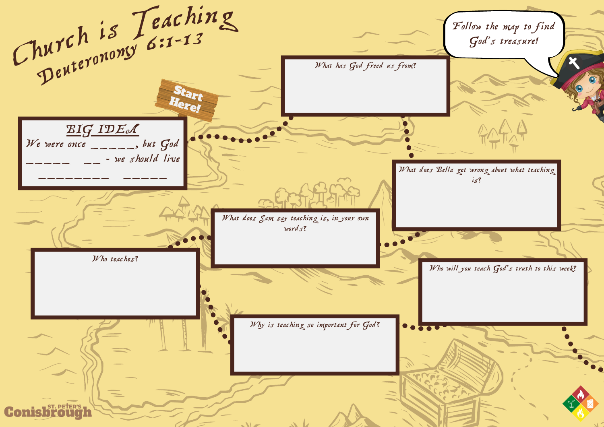